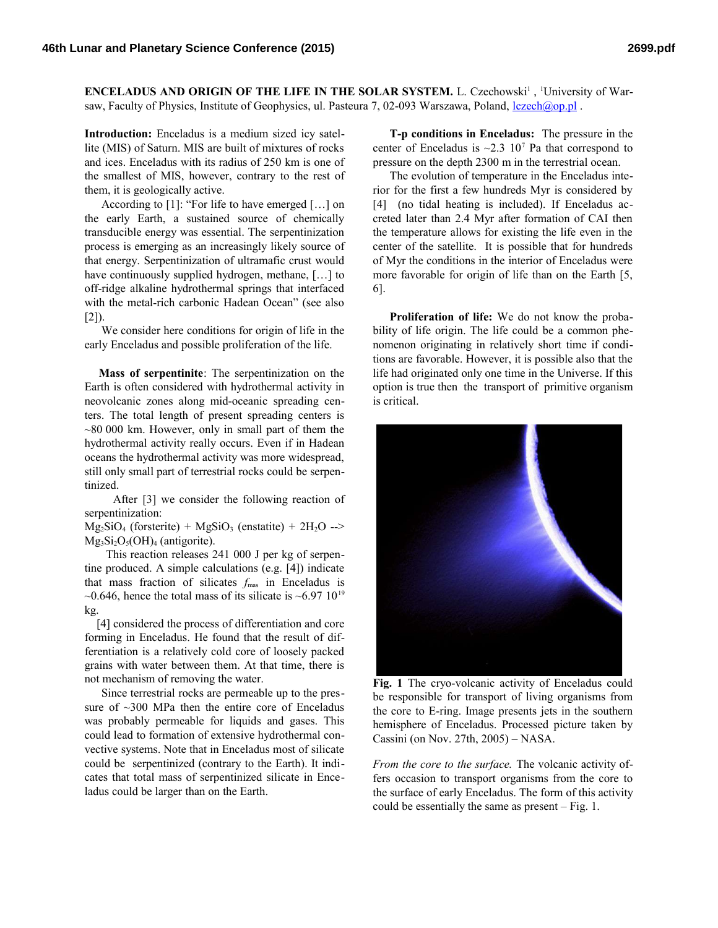**ENCELADUS AND ORIGIN OF THE LIFE IN THE SOLAR SYSTEM.** L. Czechowski<sup>1</sup>, <sup>1</sup>University of Warsaw, Faculty of Physics, Institute of Geophysics, ul. Pasteura 7, 02-093 Warszawa, Poland, *lczech*@op.pl .

**Introduction:** Enceladus is a medium sized icy satellite (MIS) of Saturn. MIS are built of mixtures of rocks and ices. Enceladus with its radius of 250 km is one of the smallest of MIS, however, contrary to the rest of them, it is geologically active.

According to [1]: "For life to have emerged […] on the early Earth, a sustained source of chemically transducible energy was essential. The serpentinization process is emerging as an increasingly likely source of that energy. Serpentinization of ultramafic crust would have continuously supplied hydrogen, methane, […] to off-ridge alkaline hydrothermal springs that interfaced with the metal-rich carbonic Hadean Ocean" (see also  $[2]$ ).

We consider here conditions for origin of life in the early Enceladus and possible proliferation of the life.

 **Mass of serpentinite**: The serpentinization on the Earth is often considered with hydrothermal activity in neovolcanic zones along mid-oceanic spreading centers. The total length of present spreading centers is  $\sim$ 80 000 km. However, only in small part of them the hydrothermal activity really occurs. Even if in Hadean oceans the hydrothermal activity was more widespread, still only small part of terrestrial rocks could be serpentinized.

 After [3] we consider the following reaction of serpentinization:

 $Mg_2SiO_4$  (forsterite) +  $MgSiO_3$  (enstatite) +  $2H_2O \rightarrow$  $Mg_3Si_2O_5(OH)_4$  (antigorite).

 This reaction releases 241 000 J per kg of serpentine produced. A simple calculations (e.g. [4]) indicate that mass fraction of silicates  $f_{\text{mas}}$  in Enceladus is  $\sim$ 0.646, hence the total mass of its silicate is  $\sim$ 6.97 10<sup>19</sup> kg.

 [4] considered the process of differentiation and core forming in Enceladus. He found that the result of differentiation is a relatively cold core of loosely packed grains with water between them. At that time, there is not mechanism of removing the water.

Since terrestrial rocks are permeable up to the pressure of  $\sim$ 300 MPa then the entire core of Enceladus was probably permeable for liquids and gases. This could lead to formation of extensive hydrothermal convective systems. Note that in Enceladus most of silicate could be serpentinized (contrary to the Earth). It indicates that total mass of serpentinized silicate in Enceladus could be larger than on the Earth.

**T-p conditions in Enceladus:** The pressure in the center of Enceladus is  $\sim$ 2.3 10<sup>7</sup> Pa that correspond to pressure on the depth 2300 m in the terrestrial ocean.

The evolution of temperature in the Enceladus interior for the first a few hundreds Myr is considered by [4] (no tidal heating is included). If Enceladus accreted later than 2.4 Myr after formation of CAI then the temperature allows for existing the life even in the center of the satellite. It is possible that for hundreds of Myr the conditions in the interior of Enceladus were more favorable for origin of life than on the Earth [5, 6].

**Proliferation of life:** We do not know the probability of life origin. The life could be a common phenomenon originating in relatively short time if conditions are favorable. However, it is possible also that the life had originated only one time in the Universe. If this option is true then the transport of primitive organism is critical.



**Fig. 1** The cryo-volcanic activity of Enceladus could be responsible for transport of living organisms from the core to E-ring. Image presents jets in the southern hemisphere of Enceladus. Processed picture taken by Cassini (on Nov. 27th, 2005) – NASA.

*From the core to the surface.* The volcanic activity offers occasion to transport organisms from the core to the surface of early Enceladus. The form of this activity could be essentially the same as present – Fig. 1.